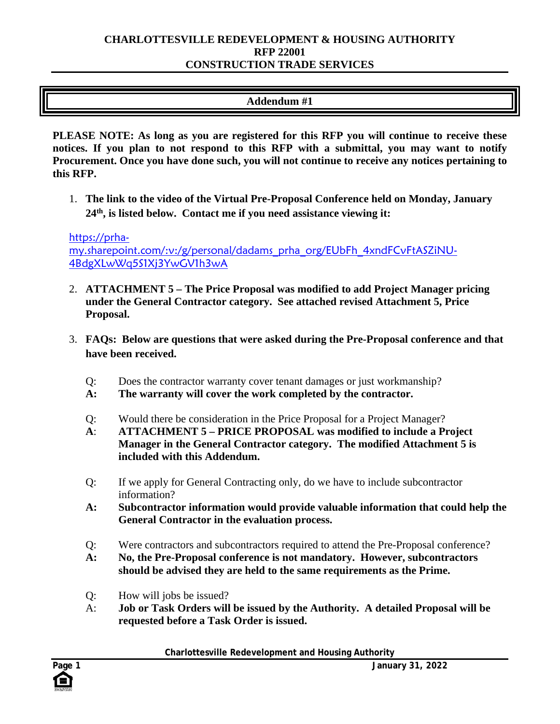### **CHARLOTTESVILLE REDEVELOPMENT & HOUSING AUTHORITY RFP 22001 CONSTRUCTION TRADE SERVICES**

# **Addendum #1**

**PLEASE NOTE: As long as you are registered for this RFP you will continue to receive these notices. If you plan to not respond to this RFP with a submittal, you may want to notify Procurement. Once you have done such, you will not continue to receive any notices pertaining to this RFP.**

1. **The link to the video of the Virtual Pre-Proposal Conference held on Monday, January 24th, is listed below. Contact me if you need assistance viewing it:**

[https://prha](https://prha-my.sharepoint.com/:v:/g/personal/dadams_prha_org/EUbFh_4xndFCvFtASZiNU-4BdgXLwWq5S1Xj3YwGV1h3wA)[my.sharepoint.com/:v:/g/personal/dadams\\_prha\\_org/EUbFh\\_4xndFCvFtASZiNU-](https://prha-my.sharepoint.com/:v:/g/personal/dadams_prha_org/EUbFh_4xndFCvFtASZiNU-4BdgXLwWq5S1Xj3YwGV1h3wA)[4BdgXLwWq5S1Xj3YwGV1h3wA](https://prha-my.sharepoint.com/:v:/g/personal/dadams_prha_org/EUbFh_4xndFCvFtASZiNU-4BdgXLwWq5S1Xj3YwGV1h3wA)

- 2. **ATTACHMENT 5 – The Price Proposal was modified to add Project Manager pricing under the General Contractor category. See attached revised Attachment 5, Price Proposal.**
- 3. **FAQs: Below are questions that were asked during the Pre-Proposal conference and that have been received.**
	- Q: Does the contractor warranty cover tenant damages or just workmanship?
	- **A: The warranty will cover the work completed by the contractor.**
	- Q: Would there be consideration in the Price Proposal for a Project Manager?
	- **A**: **ATTACHMENT 5 – PRICE PROPOSAL was modified to include a Project Manager in the General Contractor category. The modified Attachment 5 is included with this Addendum.**
	- Q: If we apply for General Contracting only, do we have to include subcontractor information?
	- **A: Subcontractor information would provide valuable information that could help the General Contractor in the evaluation process.**
	- Q: Were contractors and subcontractors required to attend the Pre-Proposal conference?
	- **A: No, the Pre-Proposal conference is not mandatory. However, subcontractors should be advised they are held to the same requirements as the Prime.**
	- Q: How will jobs be issued?
	- A: **Job or Task Orders will be issued by the Authority. A detailed Proposal will be requested before a Task Order is issued.**

**Charlottesville Redevelopment and Housing Authority**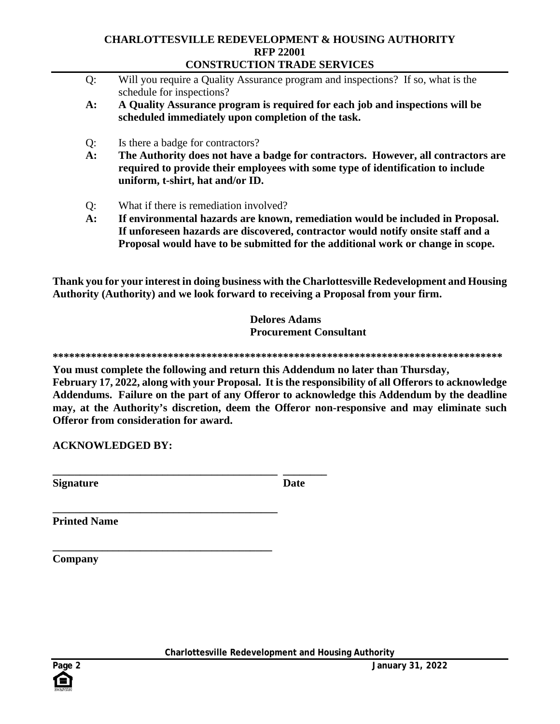### **CHARLOTTESVILLE REDEVELOPMENT & HOUSING AUTHORITY RFP 22001 CONSTRUCTION TRADE SERVICES**

| Q: | Will you require a Quality Assurance program and inspections? If so, what is the |
|----|----------------------------------------------------------------------------------|
|    | schedule for inspections?                                                        |

- **A: A Quality Assurance program is required for each job and inspections will be scheduled immediately upon completion of the task.**
- Q: Is there a badge for contractors?
- **A: The Authority does not have a badge for contractors. However, all contractors are required to provide their employees with some type of identification to include uniform, t-shirt, hat and/or ID.**
- Q: What if there is remediation involved?

**\_\_\_\_\_\_\_\_\_\_\_\_\_\_\_\_\_\_\_\_\_\_\_\_\_\_\_\_\_\_\_\_\_\_\_\_\_\_\_\_\_ \_\_\_\_\_\_\_\_** 

**A: If environmental hazards are known, remediation would be included in Proposal. If unforeseen hazards are discovered, contractor would notify onsite staff and a Proposal would have to be submitted for the additional work or change in scope.**

**Thank you for your interest in doing business with the Charlottesville Redevelopment and Housing Authority (Authority) and we look forward to receiving a Proposal from your firm.**

> **Delores Adams Procurement Consultant**

**\*\*\*\*\*\*\*\*\*\*\*\*\*\*\*\*\*\*\*\*\*\*\*\*\*\*\*\*\*\*\*\*\*\*\*\*\*\*\*\*\*\*\*\*\*\*\*\*\*\*\*\*\*\*\*\*\*\*\*\*\*\*\*\*\*\*\*\*\*\*\*\*\*\*\*\*\*\*\*\*\*\***

**You must complete the following and return this Addendum no later than Thursday,** 

**February 17, 2022, along with your Proposal. It is the responsibility of all Offerors to acknowledge Addendums. Failure on the part of any Offeror to acknowledge this Addendum by the deadline may, at the Authority's discretion, deem the Offeror non-responsive and may eliminate such Offeror from consideration for award.** 

**ACKNOWLEDGED BY:**

**Signature** Date

**\_\_\_\_\_\_\_\_\_\_\_\_\_\_\_\_\_\_\_\_\_\_\_\_\_\_\_\_\_\_\_\_\_\_\_\_\_\_\_\_\_ Printed Name** 

**\_\_\_\_\_\_\_\_\_\_\_\_\_\_\_\_\_\_\_\_\_\_\_\_\_\_\_\_\_\_\_\_\_\_\_\_\_\_\_\_ Company**

**Charlottesville Redevelopment and Housing Authority**

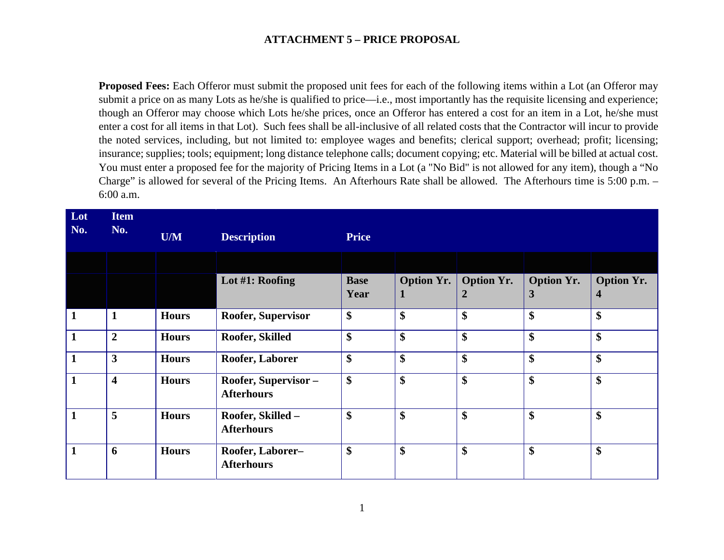**Proposed Fees:** Each Offeror must submit the proposed unit fees for each of the following items within a Lot (an Offeror may submit a price on as many Lots as he/she is qualified to price—i.e., most importantly has the requisite licensing and experience; though an Offeror may choose which Lots he/she prices, once an Offeror has entered a cost for an item in a Lot, he/she must enter a cost for all items in that Lot). Such fees shall be all-inclusive of all related costs that the Contractor will incur to provide the noted services, including, but not limited to: employee wages and benefits; clerical support; overhead; profit; licensing; insurance; supplies; tools; equipment; long distance telephone calls; document copying; etc. Material will be billed at actual cost. You must enter a proposed fee for the majority of Pricing Items in a Lot (a "No Bid" is not allowed for any item), though a "No Charge" is allowed for several of the Pricing Items. An Afterhours Rate shall be allowed. The Afterhours time is 5:00 p.m. – 6:00 a.m.

| Lot<br>No.   | <b>Item</b><br>No.      | U/M          | <b>Description</b>                       | <b>Price</b>        |                        |                        |                        |                           |
|--------------|-------------------------|--------------|------------------------------------------|---------------------|------------------------|------------------------|------------------------|---------------------------|
|              |                         |              |                                          |                     |                        |                        |                        |                           |
|              |                         |              | Lot #1: Roofing                          | <b>Base</b><br>Year | <b>Option Yr.</b><br>1 | <b>Option Yr.</b><br>2 | <b>Option Yr.</b><br>3 | <b>Option Yr.</b><br>4    |
| $\mathbf{1}$ | $\mathbf{1}$            | <b>Hours</b> | Roofer, Supervisor                       | \$                  | \$                     | \$                     | \$                     | \$                        |
| $\mathbf{1}$ | $\overline{2}$          | <b>Hours</b> | Roofer, Skilled                          | \$                  | \$                     | \$                     | \$                     | \$                        |
| $\mathbf{1}$ | $\mathbf{3}$            | <b>Hours</b> | Roofer, Laborer                          | \$                  | \$                     | \$                     | \$                     | \$                        |
| $\mathbf{1}$ | $\overline{\mathbf{4}}$ | <b>Hours</b> | Roofer, Supervisor-<br><b>Afterhours</b> | \$                  | \$                     | \$                     | \$                     | \$                        |
| $\mathbf{1}$ | 5                       | <b>Hours</b> | Roofer, Skilled -<br><b>Afterhours</b>   | \$                  | \$                     | \$                     | \$                     | \$                        |
| $\mathbf{1}$ | 6                       | <b>Hours</b> | Roofer, Laborer-<br><b>Afterhours</b>    | \$                  | \$                     | \$                     | \$                     | $\boldsymbol{\mathsf{S}}$ |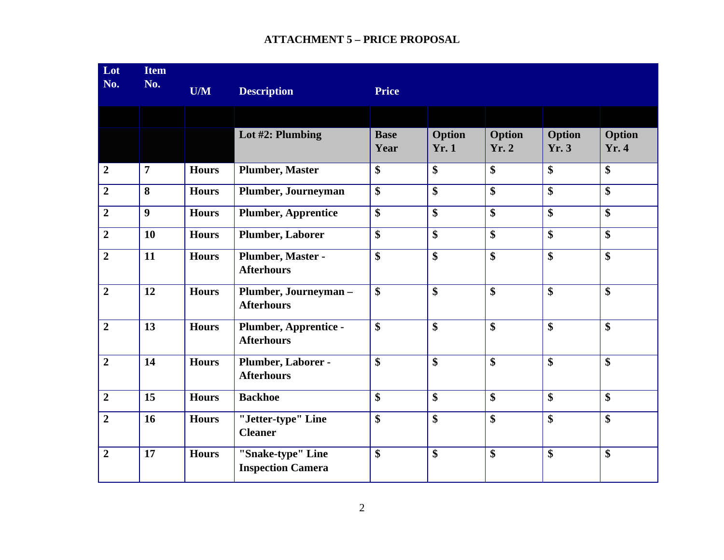| $\overline{\text{Lot}}$<br>No. | <b>Item</b><br>No. | U/M          | <b>Description</b>                            | <b>Price</b>        |                           |                        |                        |                 |
|--------------------------------|--------------------|--------------|-----------------------------------------------|---------------------|---------------------------|------------------------|------------------------|-----------------|
|                                |                    |              |                                               |                     |                           |                        |                        |                 |
|                                |                    |              | Lot #2: Plumbing                              | <b>Base</b><br>Year | Option<br><b>Yr. 1</b>    | Option<br><b>Yr. 2</b> | <b>Option</b><br>Yr. 3 | Option<br>Yr. 4 |
| $\overline{2}$                 | $\overline{7}$     | <b>Hours</b> | <b>Plumber, Master</b>                        | \$                  | \$                        | $\boldsymbol{\$}$      | \$                     | \$              |
| $\overline{2}$                 | 8                  | <b>Hours</b> | Plumber, Journeyman                           | \$                  | $\boldsymbol{\mathsf{S}}$ | \$                     | \$                     | \$              |
| $\overline{2}$                 | $\boldsymbol{9}$   | <b>Hours</b> | <b>Plumber, Apprentice</b>                    | \$                  | $\boldsymbol{\$}$         | \$                     | \$                     | \$              |
| $\overline{2}$                 | 10                 | <b>Hours</b> | <b>Plumber, Laborer</b>                       | \$                  | \$                        | $\boldsymbol{\$}$      | \$                     | \$              |
| $\overline{2}$                 | 11                 | <b>Hours</b> | Plumber, Master -<br><b>Afterhours</b>        | \$                  | $\boldsymbol{\$}$         | $\mathbf{\$}$          | \$                     | \$              |
| $\overline{2}$                 | 12                 | <b>Hours</b> | Plumber, Journeyman-<br><b>Afterhours</b>     | \$                  | $\overline{\$}$           | $\overline{\$}$        | \$                     | \$              |
| $\overline{2}$                 | 13                 | <b>Hours</b> | Plumber, Apprentice -<br><b>Afterhours</b>    | \$                  | \$                        | $\boldsymbol{\hat{S}}$ | $\boldsymbol{\$}$      | \$              |
| $\overline{2}$                 | 14                 | <b>Hours</b> | Plumber, Laborer -<br><b>Afterhours</b>       | \$                  | \$                        | $\boldsymbol{\$}$      | \$                     | \$              |
| $\overline{2}$                 | 15                 | <b>Hours</b> | <b>Backhoe</b>                                | \$                  | $\boldsymbol{\$}$         | \$                     | \$                     | \$              |
| $\overline{2}$                 | 16                 | <b>Hours</b> | "Jetter-type" Line<br><b>Cleaner</b>          | \$                  | \$                        | \$                     | \$                     | \$              |
| $\overline{2}$                 | 17                 | <b>Hours</b> | "Snake-type" Line<br><b>Inspection Camera</b> | \$                  | $\boldsymbol{\$}$         | $\boldsymbol{\$}$      | $\boldsymbol{\$}$      | \$              |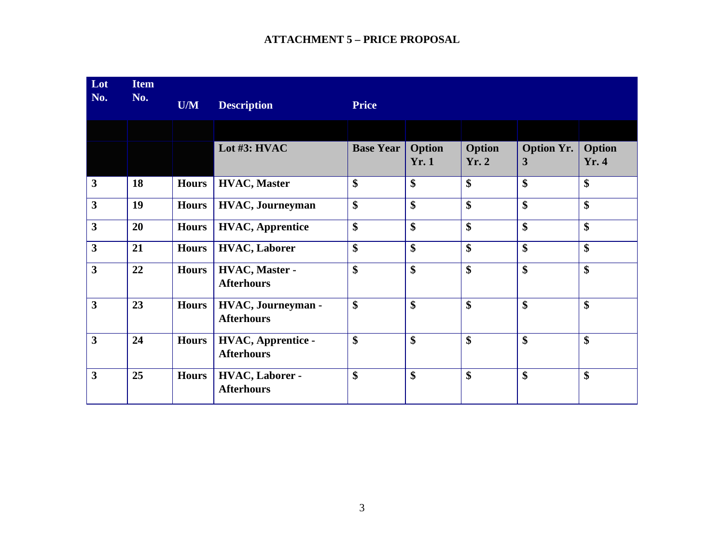| Lot<br>No.              | <b>Item</b><br>No. | U/M          | <b>Description</b>                              | <b>Price</b>     |                               |                       |                        |                 |
|-------------------------|--------------------|--------------|-------------------------------------------------|------------------|-------------------------------|-----------------------|------------------------|-----------------|
|                         |                    |              |                                                 |                  |                               |                       |                        |                 |
|                         |                    |              | Lot #3: HVAC                                    | <b>Base Year</b> | <b>Option</b><br><b>Yr. 1</b> | <b>Option</b><br>Yr.2 | <b>Option Yr.</b><br>3 | Option<br>Yr. 4 |
| $\mathbf{3}$            | 18                 | <b>Hours</b> | <b>HVAC, Master</b>                             | \$               | \$                            | \$                    | \$                     | \$              |
| $\mathbf{3}$            | 19                 | <b>Hours</b> | <b>HVAC</b> , Journeyman                        | \$               | \$                            | \$                    | \$                     | \$              |
| $\overline{\mathbf{3}}$ | 20                 | <b>Hours</b> | <b>HVAC, Apprentice</b>                         | \$               | \$                            | $\boldsymbol{\$}$     | \$                     | \$              |
| $\mathbf{3}$            | 21                 | <b>Hours</b> | <b>HVAC, Laborer</b>                            | \$               | \$                            | \$                    | \$                     | \$              |
| $\overline{\mathbf{3}}$ | 22                 | <b>Hours</b> | HVAC, Master -<br><b>Afterhours</b>             | \$               | \$                            | $\boldsymbol{\$}$     | \$                     | \$              |
| $\overline{\mathbf{3}}$ | 23                 | <b>Hours</b> | <b>HVAC</b> , Journeyman -<br><b>Afterhours</b> | \$               | \$                            | \$                    | \$                     | \$              |
| $\overline{\mathbf{3}}$ | 24                 | <b>Hours</b> | <b>HVAC, Apprentice -</b><br><b>Afterhours</b>  | \$               | \$                            | \$                    | \$                     | \$              |
| $\overline{\mathbf{3}}$ | 25                 | <b>Hours</b> | <b>HVAC, Laborer -</b><br><b>Afterhours</b>     | \$               | \$                            | \$                    | \$                     | \$              |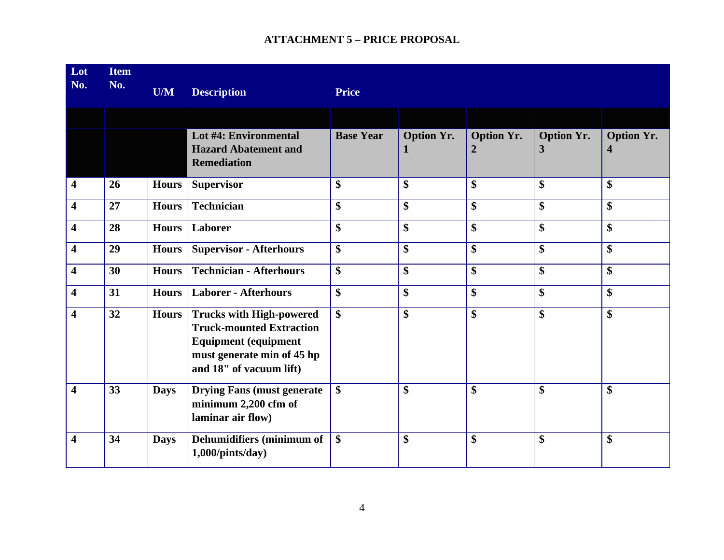| Lot<br>No.              | <b>Item</b><br>No. | U/M          | <b>Description</b>                                                                                                                                         | <b>Price</b>              |                                   |                                       |                        |                                              |
|-------------------------|--------------------|--------------|------------------------------------------------------------------------------------------------------------------------------------------------------------|---------------------------|-----------------------------------|---------------------------------------|------------------------|----------------------------------------------|
|                         |                    |              |                                                                                                                                                            |                           |                                   |                                       |                        |                                              |
|                         |                    |              | Lot #4: Environmental<br><b>Hazard Abatement and</b><br><b>Remediation</b>                                                                                 | <b>Base Year</b>          | <b>Option Yr.</b><br>$\mathbf{1}$ | <b>Option Yr.</b><br>$\boldsymbol{2}$ | <b>Option Yr.</b><br>3 | <b>Option Yr.</b><br>$\overline{\mathbf{4}}$ |
| $\overline{\mathbf{4}}$ | 26                 | <b>Hours</b> | <b>Supervisor</b>                                                                                                                                          | $\boldsymbol{\$}$         | \$                                | $\boldsymbol{\$}$                     | \$                     | \$                                           |
| $\overline{\mathbf{4}}$ | 27                 | <b>Hours</b> | <b>Technician</b>                                                                                                                                          | \$                        | \$                                | \$                                    | \$                     | \$                                           |
| $\overline{\mathbf{4}}$ | 28                 | <b>Hours</b> | Laborer                                                                                                                                                    | \$                        | \$                                | \$                                    | \$                     | \$                                           |
| $\overline{\mathbf{4}}$ | 29                 | <b>Hours</b> | <b>Supervisor - Afterhours</b>                                                                                                                             | \$                        | \$                                | \$                                    | \$                     | \$                                           |
| $\overline{\mathbf{4}}$ | 30                 | <b>Hours</b> | <b>Technician - Afterhours</b>                                                                                                                             | $\boldsymbol{\$}$         | \$                                | $\boldsymbol{\$}$                     | \$                     | \$                                           |
| $\overline{\mathbf{4}}$ | 31                 | <b>Hours</b> | <b>Laborer - Afterhours</b>                                                                                                                                | \$                        | \$                                | $\boldsymbol{\$}$                     | \$                     | \$                                           |
| $\overline{\mathbf{4}}$ | 32                 | <b>Hours</b> | <b>Trucks with High-powered</b><br><b>Truck-mounted Extraction</b><br><b>Equipment (equipment</b><br>must generate min of 45 hp<br>and 18" of vacuum lift) | $\boldsymbol{\mathsf{S}}$ | \$                                | $\boldsymbol{\mathsf{S}}$             | \$                     | \$                                           |
| $\overline{\mathbf{4}}$ | 33                 | <b>Days</b>  | <b>Drying Fans (must generate)</b><br>minimum 2,200 cfm of<br>laminar air flow)                                                                            | \$                        | \$                                | $\boldsymbol{\mathsf{S}}$             | \$                     | \$                                           |
| $\overline{\mathbf{4}}$ | 34                 | <b>Days</b>  | Dehumidifiers (minimum of<br>$1,000$ /pints/day)                                                                                                           | \$                        | \$                                | \$                                    | \$                     | \$                                           |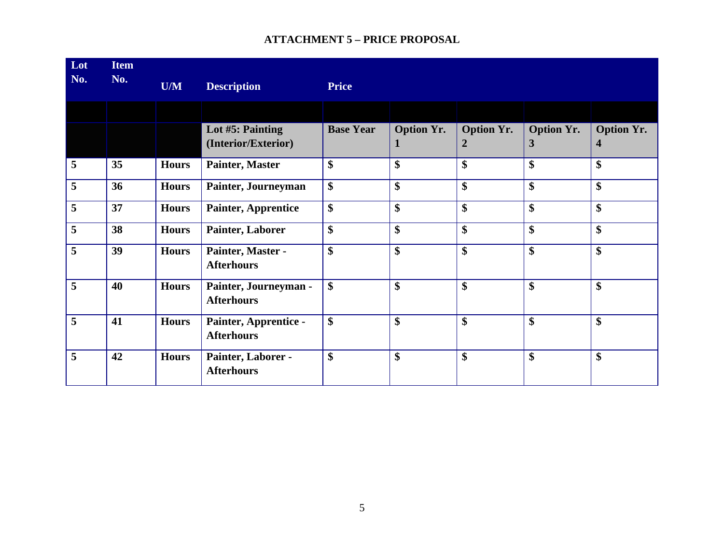| Lot<br>No. | <b>Item</b><br>No. | U/M          | <b>Description</b>                         | <b>Price</b>     |                        |                                       |                        |                        |
|------------|--------------------|--------------|--------------------------------------------|------------------|------------------------|---------------------------------------|------------------------|------------------------|
|            |                    |              |                                            |                  |                        |                                       |                        |                        |
|            |                    |              | Lot #5: Painting<br>(Interior/Exterior)    | <b>Base Year</b> | <b>Option Yr.</b><br>1 | <b>Option Yr.</b><br>$\boldsymbol{2}$ | <b>Option Yr.</b><br>3 | <b>Option Yr.</b><br>4 |
| 5          | 35                 | <b>Hours</b> | Painter, Master                            | \$               | \$                     | \$                                    | \$                     | \$                     |
| 5          | 36                 | <b>Hours</b> | Painter, Journeyman                        | \$               | \$                     | \$                                    | \$                     | \$                     |
| 5          | 37                 | <b>Hours</b> | <b>Painter, Apprentice</b>                 | \$               | \$                     | \$                                    | \$                     | \$                     |
| 5          | 38                 | <b>Hours</b> | Painter, Laborer                           | \$               | \$                     | \$                                    | \$                     | \$                     |
| 5          | 39                 | <b>Hours</b> | Painter, Master -<br><b>Afterhours</b>     | \$               | \$                     | \$                                    | \$                     | $\boldsymbol{\$}$      |
| 5          | 40                 | <b>Hours</b> | Painter, Journeyman -<br><b>Afterhours</b> | \$               | \$                     | \$                                    | \$                     | \$                     |
| 5          | 41                 | <b>Hours</b> | Painter, Apprentice -<br><b>Afterhours</b> | \$               | \$                     | \$                                    | \$                     | $\boldsymbol{\$}$      |
| 5          | 42                 | <b>Hours</b> | Painter, Laborer -<br><b>Afterhours</b>    | \$               | \$                     | \$                                    | \$                     | \$                     |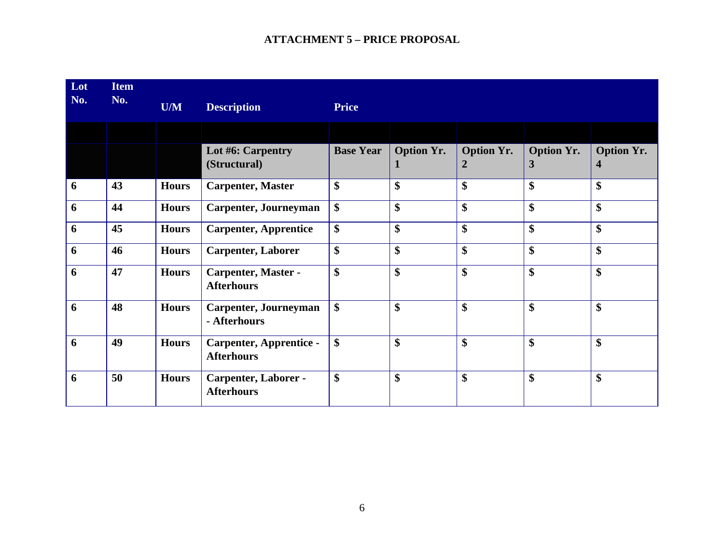| Lot<br>No. | <b>Item</b><br>No. | U/M          | <b>Description</b>                                  | <b>Price</b>     |                        |                                     |                                   |                                              |
|------------|--------------------|--------------|-----------------------------------------------------|------------------|------------------------|-------------------------------------|-----------------------------------|----------------------------------------------|
|            |                    |              |                                                     |                  |                        |                                     |                                   |                                              |
|            |                    |              | Lot #6: Carpentry<br>(Structural)                   | <b>Base Year</b> | <b>Option Yr.</b><br>1 | <b>Option Yr.</b><br>$\overline{2}$ | <b>Option Yr.</b><br>$\mathbf{3}$ | <b>Option Yr.</b><br>$\overline{\mathbf{4}}$ |
| 6          | 43                 | <b>Hours</b> | <b>Carpenter, Master</b>                            | \$               | \$                     | \$                                  | \$                                | \$                                           |
| 6          | 44                 | <b>Hours</b> | Carpenter, Journeyman                               | \$               | \$                     | \$                                  | \$                                | \$                                           |
| 6          | 45                 | <b>Hours</b> | <b>Carpenter, Apprentice</b>                        | \$               | \$                     | \$                                  | \$                                | \$                                           |
| 6          | 46                 | <b>Hours</b> | Carpenter, Laborer                                  | \$               | \$                     | \$                                  | \$                                | \$                                           |
| 6          | 47                 | <b>Hours</b> | <b>Carpenter, Master -</b><br><b>Afterhours</b>     | \$               | $\boldsymbol{\$}$      | $\boldsymbol{\$}$                   | $\boldsymbol{\mathsf{S}}$         | \$                                           |
| 6          | 48                 | <b>Hours</b> | Carpenter, Journeyman<br>- Afterhours               | \$               | \$                     | \$                                  | \$                                | \$                                           |
| 6          | 49                 | <b>Hours</b> | <b>Carpenter, Apprentice -</b><br><b>Afterhours</b> | \$               | \$                     | \$                                  | \$                                | \$                                           |
| 6          | 50                 | <b>Hours</b> | Carpenter, Laborer -<br><b>Afterhours</b>           | \$               | \$                     | \$                                  | $\boldsymbol{\mathsf{S}}$         | \$                                           |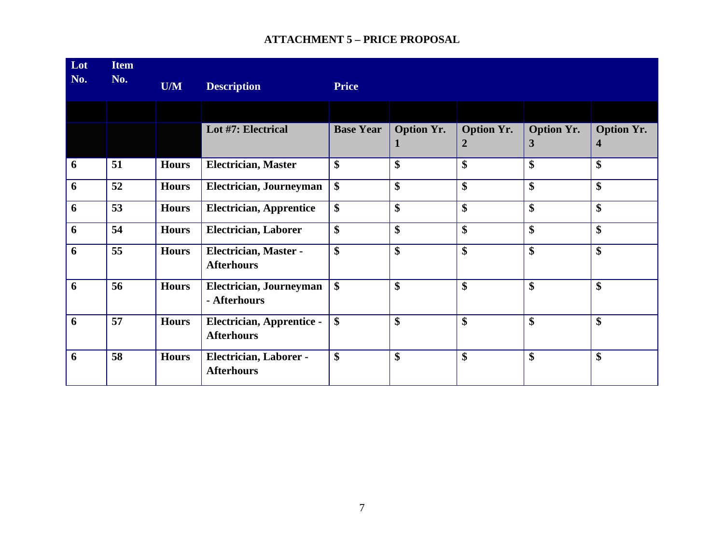| Lot<br>No. | <b>Item</b><br>No. | U/M          | <b>Description</b>                                    | <b>Price</b>     |                        |                                     |                        |                        |
|------------|--------------------|--------------|-------------------------------------------------------|------------------|------------------------|-------------------------------------|------------------------|------------------------|
|            |                    |              |                                                       |                  |                        |                                     |                        |                        |
|            |                    |              | Lot #7: Electrical                                    | <b>Base Year</b> | <b>Option Yr.</b><br>п | <b>Option Yr.</b><br>$\overline{2}$ | <b>Option Yr.</b><br>3 | <b>Option Yr.</b><br>4 |
| 6          | 51                 | <b>Hours</b> | <b>Electrician, Master</b>                            | \$               | \$                     | \$                                  | \$                     | \$                     |
| 6          | 52                 | <b>Hours</b> | Electrician, Journeyman                               | \$               | \$                     | \$                                  | \$                     | \$                     |
| 6          | 53                 | <b>Hours</b> | <b>Electrician, Apprentice</b>                        | \$               | \$                     | \$                                  | \$                     | \$                     |
| 6          | 54                 | <b>Hours</b> | <b>Electrician, Laborer</b>                           | \$               | \$                     | \$                                  | \$                     | \$                     |
| 6          | 55                 | <b>Hours</b> | Electrician, Master -<br><b>Afterhours</b>            | \$               | \$                     | \$                                  | \$                     | \$                     |
| 6          | 56                 | <b>Hours</b> | Electrician, Journeyman<br>- Afterhours               | \$               | \$                     | \$                                  | \$                     | \$                     |
| 6          | 57                 | <b>Hours</b> | <b>Electrician, Apprentice -</b><br><b>Afterhours</b> | \$               | \$                     | \$                                  | \$                     | \$                     |
| 6          | 58                 | <b>Hours</b> | Electrician, Laborer -<br><b>Afterhours</b>           | \$               | \$                     | \$                                  | \$                     | \$                     |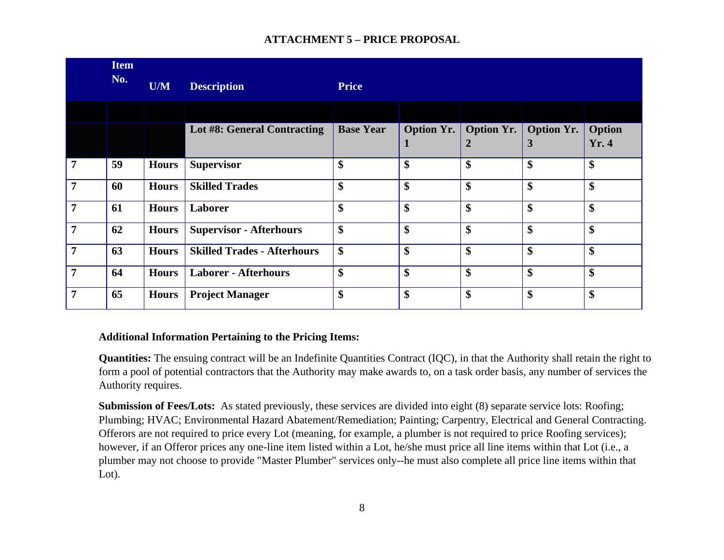|                | <b>Item</b><br>No. | U/M          | <b>Description</b>                 | <b>Price</b>              |                        |                                       |                        |                 |
|----------------|--------------------|--------------|------------------------------------|---------------------------|------------------------|---------------------------------------|------------------------|-----------------|
|                |                    |              |                                    |                           |                        |                                       |                        |                 |
|                |                    |              | Lot #8: General Contracting        | <b>Base Year</b>          | <b>Option Yr.</b><br>п | <b>Option Yr.</b><br>$\boldsymbol{2}$ | <b>Option Yr.</b><br>3 | Option<br>Yr. 4 |
| $\overline{7}$ | 59                 | <b>Hours</b> | <b>Supervisor</b>                  | \$                        | \$                     | \$                                    | \$                     | \$              |
| $\overline{7}$ | 60                 | <b>Hours</b> | <b>Skilled Trades</b>              | \$                        | \$                     | \$                                    | \$                     | \$              |
| $\overline{7}$ | 61                 | <b>Hours</b> | Laborer                            | \$                        | \$                     | \$                                    | \$                     | \$              |
| $\overline{7}$ | 62                 | <b>Hours</b> | <b>Supervisor - Afterhours</b>     | \$                        | \$                     | \$                                    | \$                     | \$              |
| $\overline{7}$ | 63                 | <b>Hours</b> | <b>Skilled Trades - Afterhours</b> | $\boldsymbol{\mathsf{S}}$ | \$                     | \$                                    | \$                     | \$              |
| $\overline{7}$ | 64                 | <b>Hours</b> | <b>Laborer - Afterhours</b>        | \$                        | \$                     | \$                                    | \$                     | \$              |
| $\overline{7}$ | 65                 | <b>Hours</b> | <b>Project Manager</b>             | \$                        | \$                     | \$                                    | \$                     | \$              |

#### **Additional Information Pertaining to the Pricing Items:**

**Quantities:** The ensuing contract will be an Indefinite Quantities Contract (IQC), in that the Authority shall retain the right to form a pool of potential contractors that the Authority may make awards to, on a task order basis, any number of services the Authority requires.

**Submission of Fees/Lots:** As stated previously, these services are divided into eight (8) separate service lots: Roofing; Plumbing; HVAC; Environmental Hazard Abatement/Remediation; Painting; Carpentry, Electrical and General Contracting. Offerors are not required to price every Lot (meaning, for example, a plumber is not required to price Roofing services); however, if an Offeror prices any one-line item listed within a Lot, he/she must price all line items within that Lot (i.e., a plumber may not choose to provide "Master Plumber" services only--he must also complete all price line items within that Lot).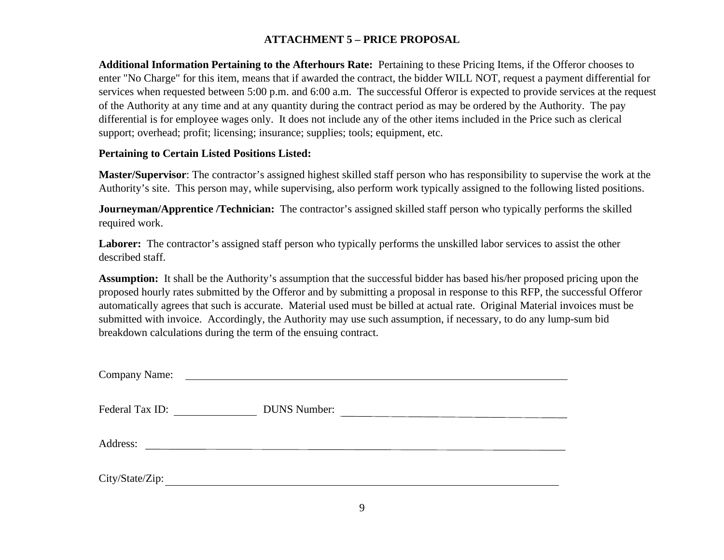**Additional Information Pertaining to the Afterhours Rate:** Pertaining to these Pricing Items, if the Offeror chooses to enter "No Charge" for this item, means that if awarded the contract, the bidder WILL NOT, request a payment differential for services when requested between 5:00 p.m. and 6:00 a.m. The successful Offeror is expected to provide services at the request of the Authority at any time and at any quantity during the contract period as may be ordered by the Authority. The pay differential is for employee wages only. It does not include any of the other items included in the Price such as clerical support; overhead; profit; licensing; insurance; supplies; tools; equipment, etc.

#### **Pertaining to Certain Listed Positions Listed:**

**Master/Supervisor**: The contractor's assigned highest skilled staff person who has responsibility to supervise the work at the Authority's site. This person may, while supervising, also perform work typically assigned to the following listed positions.

**Journeyman/Apprentice /Technician:** The contractor's assigned skilled staff person who typically performs the skilled required work.

**Laborer:** The contractor's assigned staff person who typically performs the unskilled labor services to assist the other described staff.

**Assumption:** It shall be the Authority's assumption that the successful bidder has based his/her proposed pricing upon the proposed hourly rates submitted by the Offeror and by submitting a proposal in response to this RFP, the successful Offeror automatically agrees that such is accurate. Material used must be billed at actual rate. Original Material invoices must be submitted with invoice. Accordingly, the Authority may use such assumption, if necessary, to do any lump-sum bid breakdown calculations during the term of the ensuing contract.

| <b>Company Name:</b> | <u> Alexandria de la contrada de la contrada de la contrada de la contrada de la contrada de la contrada de la c</u> |
|----------------------|----------------------------------------------------------------------------------------------------------------------|
| Federal Tax ID:      | <b>DUNS Number:</b><br><u> 1980 - Andrea Andrew Alexander (h. 1980)</u>                                              |
| Address:             | <u> 1980 - Jan Samuel Barbara, martin di sebagai personal di sebagai personal di sebagai personal di sebagai per</u> |
| City/State/Zip:      |                                                                                                                      |